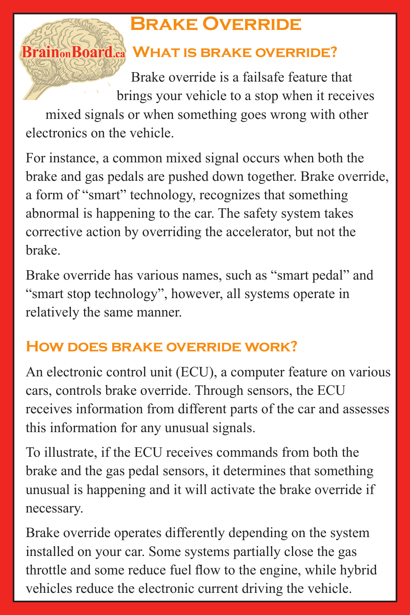## **Brake Override**

## **Brain<sub>on</sub>Board.a WHAT IS BRAKE OVERRIDE?**

Brake override is a failsafe feature that brings your vehicle to a stop when it receives

mixed signals or when something goes wrong with other electronics on the vehicle.

For instance, a common mixed signal occurs when both the brake and gas pedals are pushed down together. Brake override, a form of "smart" technology, recognizes that something abnormal is happening to the car. The safety system takes corrective action by overriding the accelerator, but not the brake.

Brake override has various names, such as "smart pedal" and "smart stop technology", however, all systems operate in relatively the same manner.

## **How does brake override work?**

An electronic control unit (ECU), a computer feature on various cars, controls brake override. Through sensors, the ECU receives information from different parts of the car and assesses this information for any unusual signals.

To illustrate, if the ECU receives commands from both the brake and the gas pedal sensors, it determines that something unusual is happening and it will activate the brake override if necessary.

Brake override operates differently depending on the system installed on your car. Some systems partially close the gas throttle and some reduce fuel flow to the engine, while hybrid vehicles reduce the electronic current driving the vehicle.